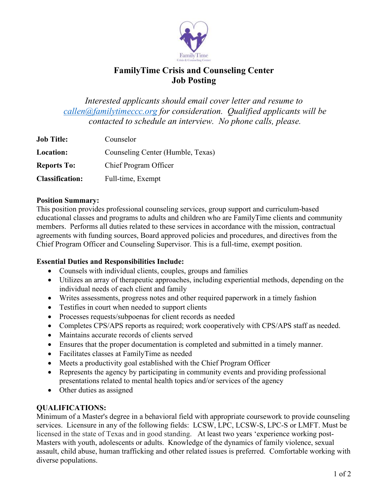

# **FamilyTime Crisis and Counseling Center Job Posting**

*Interested applicants should email cover letter and resume to [callen@familytimeccc.org](mailto:callen@familytimeccc.org) for consideration. Qualified applicants will be contacted to schedule an interview. No phone calls, please.*

| <b>Job Title:</b>      | Counselor                         |
|------------------------|-----------------------------------|
| <b>Location:</b>       | Counseling Center (Humble, Texas) |
| <b>Reports To:</b>     | Chief Program Officer             |
| <b>Classification:</b> | Full-time, Exempt                 |

#### **Position Summary:**

This position provides professional counseling services, group support and curriculum-based educational classes and programs to adults and children who are FamilyTime clients and community members. Performs all duties related to these services in accordance with the mission, contractual agreements with funding sources, Board approved policies and procedures, and directives from the Chief Program Officer and Counseling Supervisor. This is a full-time, exempt position.

### **Essential Duties and Responsibilities Include:**

- Counsels with individual clients, couples, groups and families
- Utilizes an array of therapeutic approaches, including experiential methods, depending on the individual needs of each client and family
- Writes assessments, progress notes and other required paperwork in a timely fashion
- Testifies in court when needed to support clients
- Processes requests/subpoenas for client records as needed
- Completes CPS/APS reports as required; work cooperatively with CPS/APS staff as needed.
- Maintains accurate records of clients served
- Ensures that the proper documentation is completed and submitted in a timely manner.
- Facilitates classes at FamilyTime as needed
- Meets a productivity goal established with the Chief Program Officer
- Represents the agency by participating in community events and providing professional presentations related to mental health topics and/or services of the agency
- Other duties as assigned

## **QUALIFICATIONS:**

Minimum of a Master's degree in a behavioral field with appropriate coursework to provide counseling services. Licensure in any of the following fields: LCSW, LPC, LCSW-S, LPC-S or LMFT. Must be licensed in the state of Texas and in good standing. At least two years 'experience working post-Masters with youth, adolescents or adults. Knowledge of the dynamics of family violence, sexual assault, child abuse, human trafficking and other related issues is preferred. Comfortable working with diverse populations.